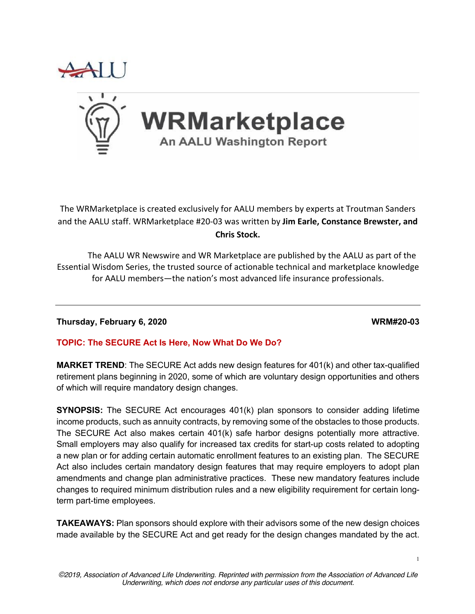



The WRMarketplace is created exclusively for AALU members by experts at Troutman Sanders and the AALU staff. WRMarketplace #20-03 was written by **Jim Earle, Constance Brewster, and Chris Stock.**

The AALU WR Newswire and WR Marketplace are published by the AALU as part of the Essential Wisdom Series, the trusted source of actionable technical and marketplace knowledge for AALU members—the nation's most advanced life insurance professionals.

**Thursday, February 6, 2020 WRM#20-03**

# **TOPIC: The SECURE Act Is Here, Now What Do We Do?**

**MARKET TREND**: The SECURE Act adds new design features for 401(k) and other tax-qualified retirement plans beginning in 2020, some of which are voluntary design opportunities and others of which will require mandatory design changes.

**SYNOPSIS:** The SECURE Act encourages 401(k) plan sponsors to consider adding lifetime income products, such as annuity contracts, by removing some of the obstacles to those products. The SECURE Act also makes certain 401(k) safe harbor designs potentially more attractive. Small employers may also qualify for increased tax credits for start-up costs related to adopting a new plan or for adding certain automatic enrollment features to an existing plan. The SECURE Act also includes certain mandatory design features that may require employers to adopt plan amendments and change plan administrative practices. These new mandatory features include changes to required minimum distribution rules and a new eligibility requirement for certain longterm part-time employees.

**TAKEAWAYS:** Plan sponsors should explore with their advisors some of the new design choices made available by the SECURE Act and get ready for the design changes mandated by the act.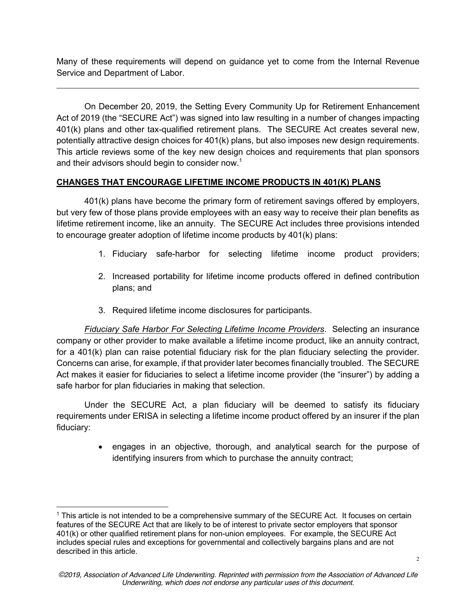Many of these requirements will depend on guidance yet to come from the Internal Revenue Service and Department of Labor.

On December 20, 2019, the Setting Every Community Up for Retirement Enhancement Act of 2019 (the "SECURE Act") was signed into law resulting in a number of changes impacting 401(k) plans and other tax-qualified retirement plans. The SECURE Act creates several new, potentially attractive design choices for 401(k) plans, but also imposes new design requirements. This article reviews some of the key new design choices and requirements that plan sponsors and their advisors should begin to consider now.<sup>1</sup>

# **CHANGES THAT ENCOURAGE LIFETIME INCOME PRODUCTS IN 401(K) PLANS**

401(k) plans have become the primary form of retirement savings offered by employers, but very few of those plans provide employees with an easy way to receive their plan benefits as lifetime retirement income, like an annuity. The SECURE Act includes three provisions intended to encourage greater adoption of lifetime income products by 401(k) plans:

- 1. Fiduciary safe-harbor for selecting lifetime income product providers;
- 2. Increased portability for lifetime income products offered in defined contribution plans; and
- 3. Required lifetime income disclosures for participants.

*Fiduciary Safe Harbor For Selecting Lifetime Income Providers*. Selecting an insurance company or other provider to make available a lifetime income product, like an annuity contract, for a 401(k) plan can raise potential fiduciary risk for the plan fiduciary selecting the provider. Concerns can arise, for example, if that provider later becomes financially troubled. The SECURE Act makes it easier for fiduciaries to select a lifetime income provider (the "insurer") by adding a safe harbor for plan fiduciaries in making that selection.

Under the SECURE Act, a plan fiduciary will be deemed to satisfy its fiduciary requirements under ERISA in selecting a lifetime income product offered by an insurer if the plan fiduciary:

> • engages in an objective, thorough, and analytical search for the purpose of identifying insurers from which to purchase the annuity contract;

<sup>1</sup> This article is not intended to be a comprehensive summary of the SECURE Act. It focuses on certain features of the SECURE Act that are likely to be of interest to private sector employers that sponsor 401(k) or other qualified retirement plans for non-union employees. For example, the SECURE Act includes special rules and exceptions for governmental and collectively bargains plans and are not described in this article.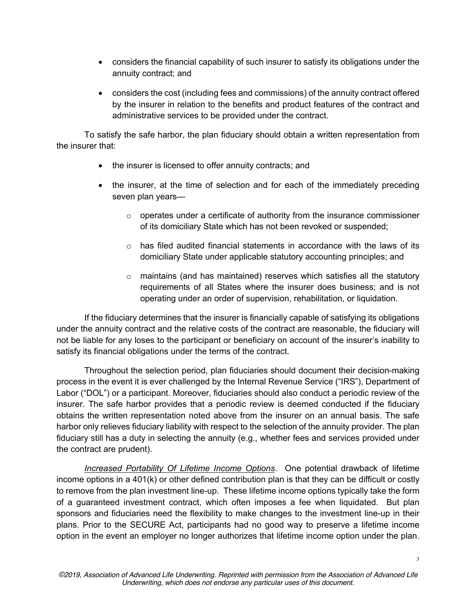- considers the financial capability of such insurer to satisfy its obligations under the annuity contract; and
- considers the cost (including fees and commissions) of the annuity contract offered by the insurer in relation to the benefits and product features of the contract and administrative services to be provided under the contract.

To satisfy the safe harbor, the plan fiduciary should obtain a written representation from the insurer that:

- the insurer is licensed to offer annuity contracts; and
- the insurer, at the time of selection and for each of the immediately preceding seven plan years—
	- $\circ$  operates under a certificate of authority from the insurance commissioner of its domiciliary State which has not been revoked or suspended;
	- $\circ$  has filed audited financial statements in accordance with the laws of its domiciliary State under applicable statutory accounting principles; and
	- $\circ$  maintains (and has maintained) reserves which satisfies all the statutory requirements of all States where the insurer does business; and is not operating under an order of supervision, rehabilitation, or liquidation.

If the fiduciary determines that the insurer is financially capable of satisfying its obligations under the annuity contract and the relative costs of the contract are reasonable, the fiduciary will not be liable for any loses to the participant or beneficiary on account of the insurer's inability to satisfy its financial obligations under the terms of the contract.

Throughout the selection period, plan fiduciaries should document their decision-making process in the event it is ever challenged by the Internal Revenue Service ("IRS"), Department of Labor ("DOL") or a participant. Moreover, fiduciaries should also conduct a periodic review of the insurer. The safe harbor provides that a periodic review is deemed conducted if the fiduciary obtains the written representation noted above from the insurer on an annual basis. The safe harbor only relieves fiduciary liability with respect to the selection of the annuity provider. The plan fiduciary still has a duty in selecting the annuity (e.g., whether fees and services provided under the contract are prudent).

*Increased Portability Of Lifetime Income Options*. One potential drawback of lifetime income options in a 401(k) or other defined contribution plan is that they can be difficult or costly to remove from the plan investment line-up. These lifetime income options typically take the form of a guaranteed investment contract, which often imposes a fee when liquidated. But plan sponsors and fiduciaries need the flexibility to make changes to the investment line-up in their plans. Prior to the SECURE Act, participants had no good way to preserve a lifetime income option in the event an employer no longer authorizes that lifetime income option under the plan.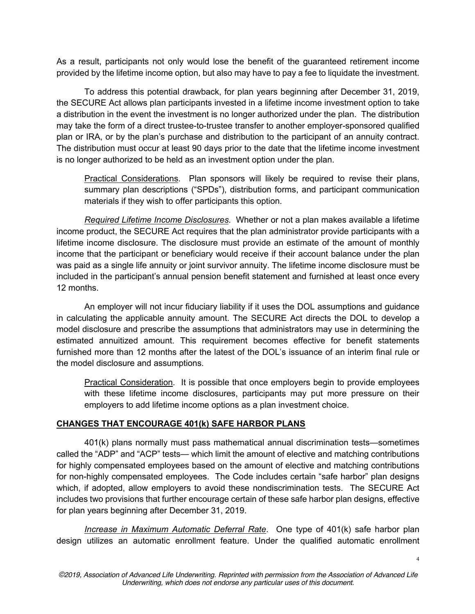As a result, participants not only would lose the benefit of the guaranteed retirement income provided by the lifetime income option, but also may have to pay a fee to liquidate the investment.

To address this potential drawback, for plan years beginning after December 31, 2019, the SECURE Act allows plan participants invested in a lifetime income investment option to take a distribution in the event the investment is no longer authorized under the plan. The distribution may take the form of a direct trustee-to-trustee transfer to another employer-sponsored qualified plan or IRA, or by the plan's purchase and distribution to the participant of an annuity contract. The distribution must occur at least 90 days prior to the date that the lifetime income investment is no longer authorized to be held as an investment option under the plan.

Practical Considerations. Plan sponsors will likely be required to revise their plans, summary plan descriptions ("SPDs"), distribution forms, and participant communication materials if they wish to offer participants this option.

*Required Lifetime Income Disclosures*. Whether or not a plan makes available a lifetime income product, the SECURE Act requires that the plan administrator provide participants with a lifetime income disclosure. The disclosure must provide an estimate of the amount of monthly income that the participant or beneficiary would receive if their account balance under the plan was paid as a single life annuity or joint survivor annuity. The lifetime income disclosure must be included in the participant's annual pension benefit statement and furnished at least once every 12 months.

An employer will not incur fiduciary liability if it uses the DOL assumptions and guidance in calculating the applicable annuity amount. The SECURE Act directs the DOL to develop a model disclosure and prescribe the assumptions that administrators may use in determining the estimated annuitized amount. This requirement becomes effective for benefit statements furnished more than 12 months after the latest of the DOL's issuance of an interim final rule or the model disclosure and assumptions.

Practical Consideration. It is possible that once employers begin to provide employees with these lifetime income disclosures, participants may put more pressure on their employers to add lifetime income options as a plan investment choice.

# **CHANGES THAT ENCOURAGE 401(k) SAFE HARBOR PLANS**

401(k) plans normally must pass mathematical annual discrimination tests—sometimes called the "ADP" and "ACP" tests— which limit the amount of elective and matching contributions for highly compensated employees based on the amount of elective and matching contributions for non-highly compensated employees. The Code includes certain "safe harbor" plan designs which, if adopted, allow employers to avoid these nondiscrimination tests. The SECURE Act includes two provisions that further encourage certain of these safe harbor plan designs, effective for plan years beginning after December 31, 2019.

*Increase in Maximum Automatic Deferral Rate*. One type of 401(k) safe harbor plan design utilizes an automatic enrollment feature. Under the qualified automatic enrollment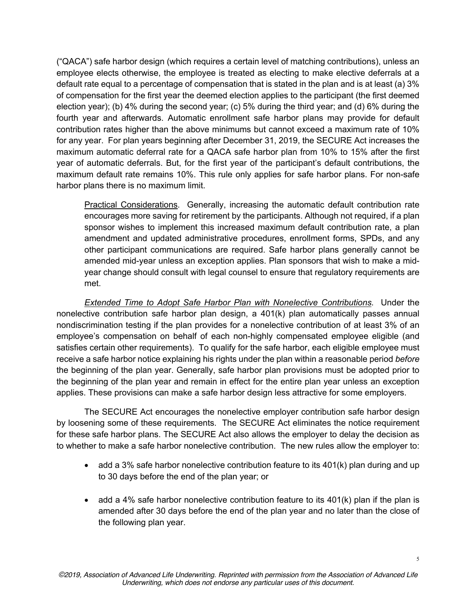("QACA") safe harbor design (which requires a certain level of matching contributions), unless an employee elects otherwise, the employee is treated as electing to make elective deferrals at a default rate equal to a percentage of compensation that is stated in the plan and is at least (a) 3% of compensation for the first year the deemed election applies to the participant (the first deemed election year); (b) 4% during the second year; (c) 5% during the third year; and (d) 6% during the fourth year and afterwards. Automatic enrollment safe harbor plans may provide for default contribution rates higher than the above minimums but cannot exceed a maximum rate of 10% for any year. For plan years beginning after December 31, 2019, the SECURE Act increases the maximum automatic deferral rate for a QACA safe harbor plan from 10% to 15% after the first year of automatic deferrals. But, for the first year of the participant's default contributions, the maximum default rate remains 10%. This rule only applies for safe harbor plans. For non-safe harbor plans there is no maximum limit.

Practical Considerations. Generally, increasing the automatic default contribution rate encourages more saving for retirement by the participants. Although not required, if a plan sponsor wishes to implement this increased maximum default contribution rate, a plan amendment and updated administrative procedures, enrollment forms, SPDs, and any other participant communications are required. Safe harbor plans generally cannot be amended mid-year unless an exception applies. Plan sponsors that wish to make a midyear change should consult with legal counsel to ensure that regulatory requirements are met.

*Extended Time to Adopt Safe Harbor Plan with Nonelective Contributions*. Under the nonelective contribution safe harbor plan design, a 401(k) plan automatically passes annual nondiscrimination testing if the plan provides for a nonelective contribution of at least 3% of an employee's compensation on behalf of each non-highly compensated employee eligible (and satisfies certain other requirements). To qualify for the safe harbor, each eligible employee must receive a safe harbor notice explaining his rights under the plan within a reasonable period *before* the beginning of the plan year. Generally, safe harbor plan provisions must be adopted prior to the beginning of the plan year and remain in effect for the entire plan year unless an exception applies. These provisions can make a safe harbor design less attractive for some employers.

The SECURE Act encourages the nonelective employer contribution safe harbor design by loosening some of these requirements. The SECURE Act eliminates the notice requirement for these safe harbor plans. The SECURE Act also allows the employer to delay the decision as to whether to make a safe harbor nonelective contribution. The new rules allow the employer to:

- add a 3% safe harbor nonelective contribution feature to its 401(k) plan during and up to 30 days before the end of the plan year; or
- add a 4% safe harbor nonelective contribution feature to its  $401(k)$  plan if the plan is amended after 30 days before the end of the plan year and no later than the close of the following plan year.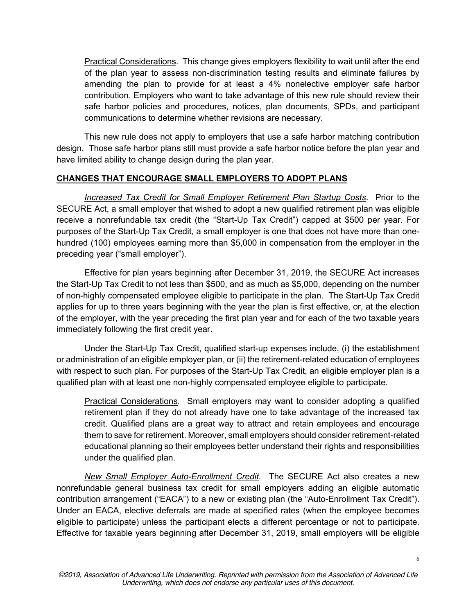Practical Considerations. This change gives employers flexibility to wait until after the end of the plan year to assess non-discrimination testing results and eliminate failures by amending the plan to provide for at least a 4% nonelective employer safe harbor contribution. Employers who want to take advantage of this new rule should review their safe harbor policies and procedures, notices, plan documents, SPDs, and participant communications to determine whether revisions are necessary.

This new rule does not apply to employers that use a safe harbor matching contribution design. Those safe harbor plans still must provide a safe harbor notice before the plan year and have limited ability to change design during the plan year.

## **CHANGES THAT ENCOURAGE SMALL EMPLOYERS TO ADOPT PLANS**

*Increased Tax Credit for Small Employer Retirement Plan Startup Costs*. Prior to the SECURE Act, a small employer that wished to adopt a new qualified retirement plan was eligible receive a nonrefundable tax credit (the "Start-Up Tax Credit") capped at \$500 per year. For purposes of the Start-Up Tax Credit, a small employer is one that does not have more than onehundred (100) employees earning more than \$5,000 in compensation from the employer in the preceding year ("small employer").

Effective for plan years beginning after December 31, 2019, the SECURE Act increases the Start-Up Tax Credit to not less than \$500, and as much as \$5,000, depending on the number of non-highly compensated employee eligible to participate in the plan. The Start-Up Tax Credit applies for up to three years beginning with the year the plan is first effective, or, at the election of the employer, with the year preceding the first plan year and for each of the two taxable years immediately following the first credit year.

Under the Start-Up Tax Credit, qualified start-up expenses include, (i) the establishment or administration of an eligible employer plan, or (ii) the retirement-related education of employees with respect to such plan. For purposes of the Start-Up Tax Credit, an eligible employer plan is a qualified plan with at least one non-highly compensated employee eligible to participate.

Practical Considerations. Small employers may want to consider adopting a qualified retirement plan if they do not already have one to take advantage of the increased tax credit. Qualified plans are a great way to attract and retain employees and encourage them to save for retirement. Moreover, small employers should consider retirement-related educational planning so their employees better understand their rights and responsibilities under the qualified plan.

*New Small Employer Auto-Enrollment Credit*. The SECURE Act also creates a new nonrefundable general business tax credit for small employers adding an eligible automatic contribution arrangement ("EACA") to a new or existing plan (the "Auto-Enrollment Tax Credit"). Under an EACA, elective deferrals are made at specified rates (when the employee becomes eligible to participate) unless the participant elects a different percentage or not to participate. Effective for taxable years beginning after December 31, 2019, small employers will be eligible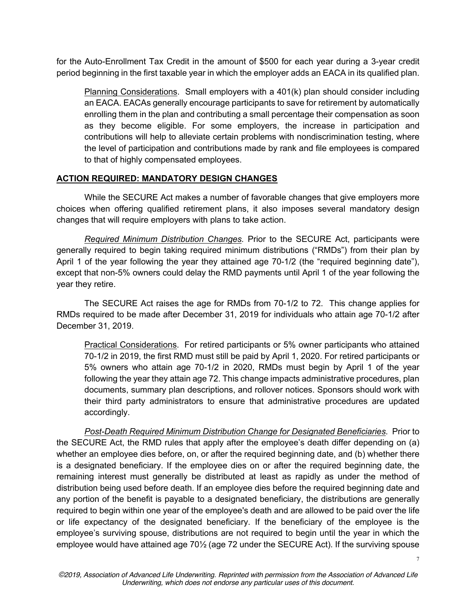for the Auto-Enrollment Tax Credit in the amount of \$500 for each year during a 3-year credit period beginning in the first taxable year in which the employer adds an EACA in its qualified plan.

Planning Considerations. Small employers with a 401(k) plan should consider including an EACA. EACAs generally encourage participants to save for retirement by automatically enrolling them in the plan and contributing a small percentage their compensation as soon as they become eligible. For some employers, the increase in participation and contributions will help to alleviate certain problems with nondiscrimination testing, where the level of participation and contributions made by rank and file employees is compared to that of highly compensated employees.

## **ACTION REQUIRED: MANDATORY DESIGN CHANGES**

While the SECURE Act makes a number of favorable changes that give employers more choices when offering qualified retirement plans, it also imposes several mandatory design changes that will require employers with plans to take action.

*Required Minimum Distribution Changes.* Prior to the SECURE Act, participants were generally required to begin taking required minimum distributions ("RMDs") from their plan by April 1 of the year following the year they attained age 70-1/2 (the "required beginning date"), except that non-5% owners could delay the RMD payments until April 1 of the year following the year they retire.

The SECURE Act raises the age for RMDs from 70-1/2 to 72. This change applies for RMDs required to be made after December 31, 2019 for individuals who attain age 70-1/2 after December 31, 2019.

Practical Considerations. For retired participants or 5% owner participants who attained 70-1/2 in 2019, the first RMD must still be paid by April 1, 2020. For retired participants or 5% owners who attain age 70-1/2 in 2020, RMDs must begin by April 1 of the year following the year they attain age 72. This change impacts administrative procedures, plan documents, summary plan descriptions, and rollover notices. Sponsors should work with their third party administrators to ensure that administrative procedures are updated accordingly.

*Post-Death Required Minimum Distribution Change for Designated Beneficiaries*. Prior to the SECURE Act, the RMD rules that apply after the employee's death differ depending on (a) whether an employee dies before, on, or after the required beginning date, and (b) whether there is a designated beneficiary. If the employee dies on or after the required beginning date, the remaining interest must generally be distributed at least as rapidly as under the method of distribution being used before death. If an employee dies before the required beginning date and any portion of the benefit is payable to a designated beneficiary, the distributions are generally required to begin within one year of the employee's death and are allowed to be paid over the life or life expectancy of the designated beneficiary. If the beneficiary of the employee is the employee's surviving spouse, distributions are not required to begin until the year in which the employee would have attained age 70½ (age 72 under the SECURE Act). If the surviving spouse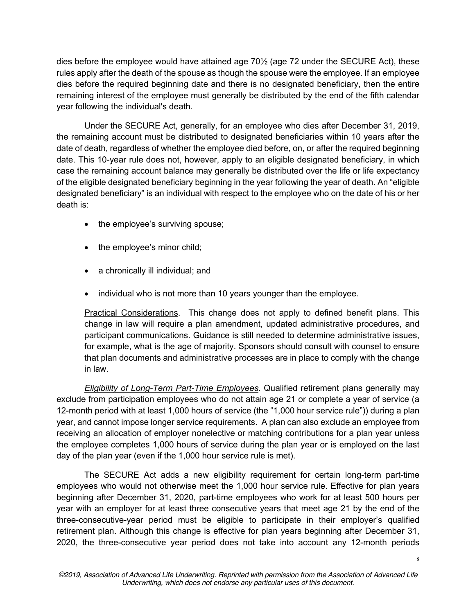dies before the employee would have attained age 70½ (age 72 under the SECURE Act), these rules apply after the death of the spouse as though the spouse were the employee. If an employee dies before the required beginning date and there is no designated beneficiary, then the entire remaining interest of the employee must generally be distributed by the end of the fifth calendar year following the individual's death.

Under the SECURE Act, generally, for an employee who dies after December 31, 2019, the remaining account must be distributed to designated beneficiaries within 10 years after the date of death, regardless of whether the employee died before, on, or after the required beginning date. This 10-year rule does not, however, apply to an eligible designated beneficiary, in which case the remaining account balance may generally be distributed over the life or life expectancy of the eligible designated beneficiary beginning in the year following the year of death. An "eligible designated beneficiary" is an individual with respect to the employee who on the date of his or her death is:

- the employee's surviving spouse;
- the employee's minor child;
- a chronically ill individual; and
- individual who is not more than 10 years younger than the employee.

Practical Considerations. This change does not apply to defined benefit plans. This change in law will require a plan amendment, updated administrative procedures, and participant communications. Guidance is still needed to determine administrative issues, for example, what is the age of majority. Sponsors should consult with counsel to ensure that plan documents and administrative processes are in place to comply with the change in law.

*Eligibility of Long-Term Part-Time Employees*. Qualified retirement plans generally may exclude from participation employees who do not attain age 21 or complete a year of service (a 12-month period with at least 1,000 hours of service (the "1,000 hour service rule")) during a plan year, and cannot impose longer service requirements. A plan can also exclude an employee from receiving an allocation of employer nonelective or matching contributions for a plan year unless the employee completes 1,000 hours of service during the plan year or is employed on the last day of the plan year (even if the 1,000 hour service rule is met).

The SECURE Act adds a new eligibility requirement for certain long-term part-time employees who would not otherwise meet the 1,000 hour service rule. Effective for plan years beginning after December 31, 2020, part-time employees who work for at least 500 hours per year with an employer for at least three consecutive years that meet age 21 by the end of the three-consecutive-year period must be eligible to participate in their employer's qualified retirement plan. Although this change is effective for plan years beginning after December 31, 2020, the three-consecutive year period does not take into account any 12-month periods